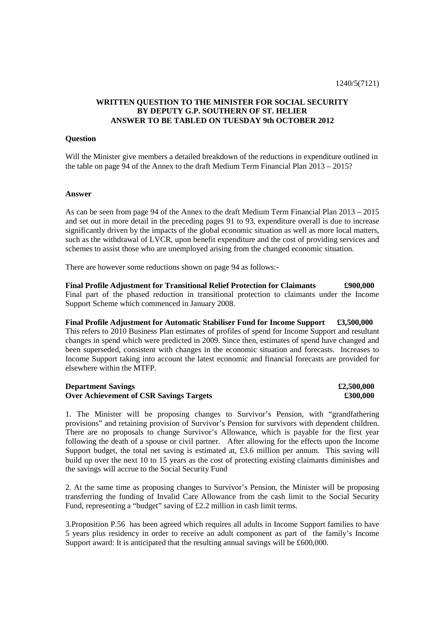# **WRITTEN QUESTION TO THE MINISTER FOR SOCIAL SECURITY BY DEPUTY G.P. SOUTHERN OF ST. HELIER ANSWER TO BE TABLED ON TUESDAY 9th OCTOBER 2012**

### **Question**

Will the Minister give members a detailed breakdown of the reductions in expenditure outlined in the table on page 94 of the Annex to the draft Medium Term Financial Plan 2013 – 2015?

### **Answer**

As can be seen from page 94 of the Annex to the draft Medium Term Financial Plan 2013 – 2015 and set out in more detail in the preceding pages 91 to 93, expenditure overall is due to increase significantly driven by the impacts of the global economic situation as well as more local matters, such as the withdrawal of LVCR, upon benefit expenditure and the cost of providing services and schemes to assist those who are unemployed arising from the changed economic situation.

There are however some reductions shown on page 94 as follows:-

**Final Profile Adjustment for Transitional Relief Protection for Claimants £900,000**  Final part of the phased reduction in transitional protection to claimants under the Income Support Scheme which commenced in January 2008.

**Final Profile Adjustment for Automatic Stabiliser Fund for Income Support £3,500,000**  This refers to 2010 Business Plan estimates of profiles of spend for Income Support and resultant changes in spend which were predicted in 2009. Since then, estimates of spend have changed and been superseded, consistent with changes in the economic situation and forecasts. Increases to Income Support taking into account the latest economic and financial forecasts are provided for elsewhere within the MTFP.

### **Department Savings**  $\text{\textsterling}2,500,000$ **Over Achievement of CSR Savings Targets**  $\qquad 200,000$

1. The Minister will be proposing changes to Survivor's Pension, with "grandfathering provisions" and retaining provision of Survivor's Pension for survivors with dependent children. There are no proposals to change Survivor's Allowance, which is payable for the first year following the death of a spouse or civil partner. After allowing for the effects upon the Income Support budget, the total net saving is estimated at, £3.6 million per annum. This saving will build up over the next 10 to 15 years as the cost of protecting existing claimants diminishes and the savings will accrue to the Social Security Fund

2. At the same time as proposing changes to Survivor's Pension, the Minister will be proposing transferring the funding of Invalid Care Allowance from the cash limit to the Social Security Fund, representing a "budget" saving of £2.2 million in cash limit terms.

3.Proposition P.56 has been agreed which requires all adults in Income Support families to have 5 years plus residency in order to receive an adult component as part of the family's Income Support award: It is anticipated that the resulting annual savings will be £600,000.